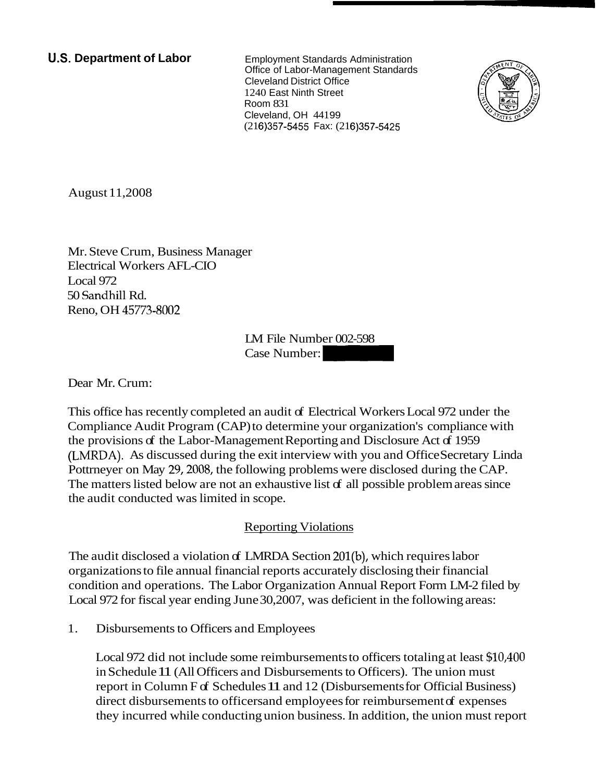**U.S. Department of Labor** Employment Standards Administration

Office of Labor-Management Standards Cleveland District Office 1240 East Ninth Street Room 831 Cleveland, OH 441 99 (216)357-5455 Fax: (216)357-5425



August 11,2008

Mr. Steve Crum, Business Manager Electrical Workers AFL-CIO Local 972 50 Sandhill Rd. Reno, OH 45773-8002

LM File Number 002-598 er<br>LM File Number 002-598<br>Case Number:

Dear Mr. Crum:

This office has recently completed an audit of Electrical Workers Local 972 under the Compliance Audit Program (CAP) to determine your organization's compliance with the provisions of the Labor-Management Reporting and Disclosure Act of 1959 (LNIRDA). As discussed during the exit interview with you and Office Secretary Linda Pottrneyer on May 29, 2008, the following problems were disclosed during the CAP. The matters listed below are not an exhaustive list of all possible problem areas since the audit conducted was limited in scope.

## **Reporting Violations**

The audit disclosed a violation of LMRDA Section 201(b), which requires labor organizations to file annual financial reports accurately disclosing their financial condition and operations. The Labor Organization Annual Report Form LM-2 filed by Local 972 for fiscal year ending June 30,2007, was deficient in the following areas:

1. Disbursements to Officers and Employees

Local 972 did not include some reimbursements to officers totaling at least \$10,400 in Schedule 11 (All Officers and Disbursements to Officers). The union must report in Column F of Schedules 11 and 12 (Disbursements for Official Business) direct disbursements to officers and employees for reimbursement of expenses they incurred while conducting union business. In addition, the union must report